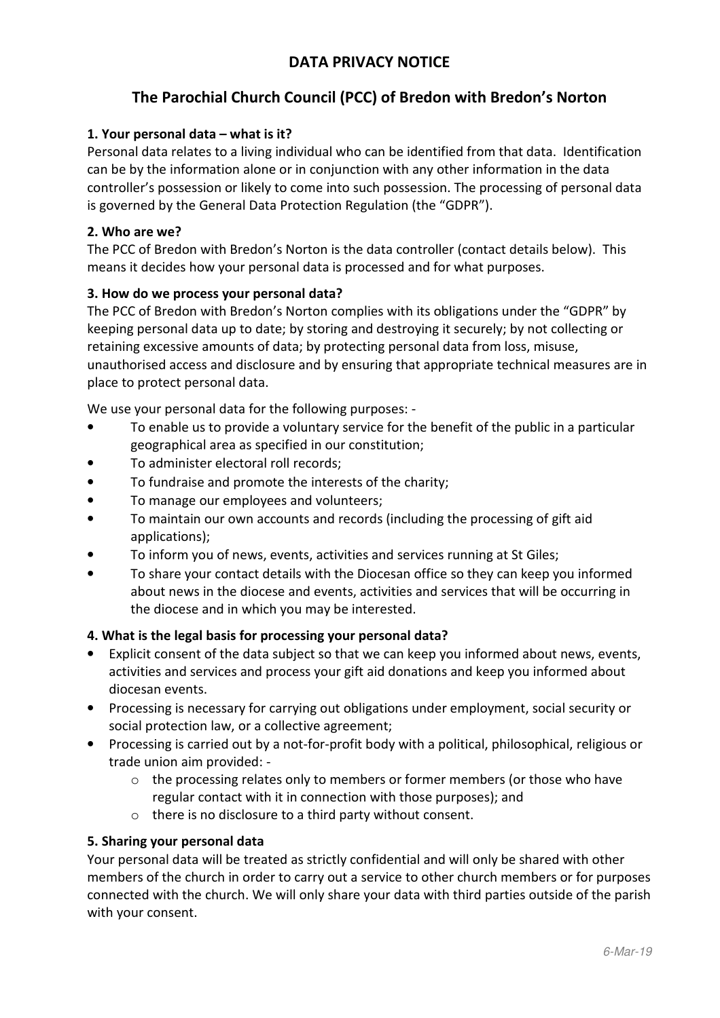# **DATA PRIVACY NOTICE**

# **The Parochial Church Council (PCC) of Bredon with Bredon's Norton**

# **1. Your personal data – what is it?**

Personal data relates to a living individual who can be identified from that data. Identification can be by the information alone or in conjunction with any other information in the data controller's possession or likely to come into such possession. The processing of personal data is governed by the General Data Protection Regulation (the "GDPR").

### **2. Who are we?**

The PCC of Bredon with Bredon's Norton is the data controller (contact details below). This means it decides how your personal data is processed and for what purposes.

### **3. How do we process your personal data?**

The PCC of Bredon with Bredon's Norton complies with its obligations under the "GDPR" by keeping personal data up to date; by storing and destroying it securely; by not collecting or retaining excessive amounts of data; by protecting personal data from loss, misuse, unauthorised access and disclosure and by ensuring that appropriate technical measures are in place to protect personal data.

We use your personal data for the following purposes: -

- To enable us to provide a voluntary service for the benefit of the public in a particular geographical area as specified in our constitution;
- To administer electoral roll records;
- To fundraise and promote the interests of the charity;
- To manage our employees and volunteers;
- To maintain our own accounts and records (including the processing of gift aid applications);
- To inform you of news, events, activities and services running at St Giles;
- To share your contact details with the Diocesan office so they can keep you informed about news in the diocese and events, activities and services that will be occurring in the diocese and in which you may be interested.

#### **4. What is the legal basis for processing your personal data?**

- Explicit consent of the data subject so that we can keep you informed about news, events, activities and services and process your gift aid donations and keep you informed about diocesan events.
- Processing is necessary for carrying out obligations under employment, social security or social protection law, or a collective agreement;
- Processing is carried out by a not-for-profit body with a political, philosophical, religious or trade union aim provided: -
	- $\circ$  the processing relates only to members or former members (or those who have regular contact with it in connection with those purposes); and
	- o there is no disclosure to a third party without consent.

#### **5. Sharing your personal data**

Your personal data will be treated as strictly confidential and will only be shared with other members of the church in order to carry out a service to other church members or for purposes connected with the church. We will only share your data with third parties outside of the parish with your consent.